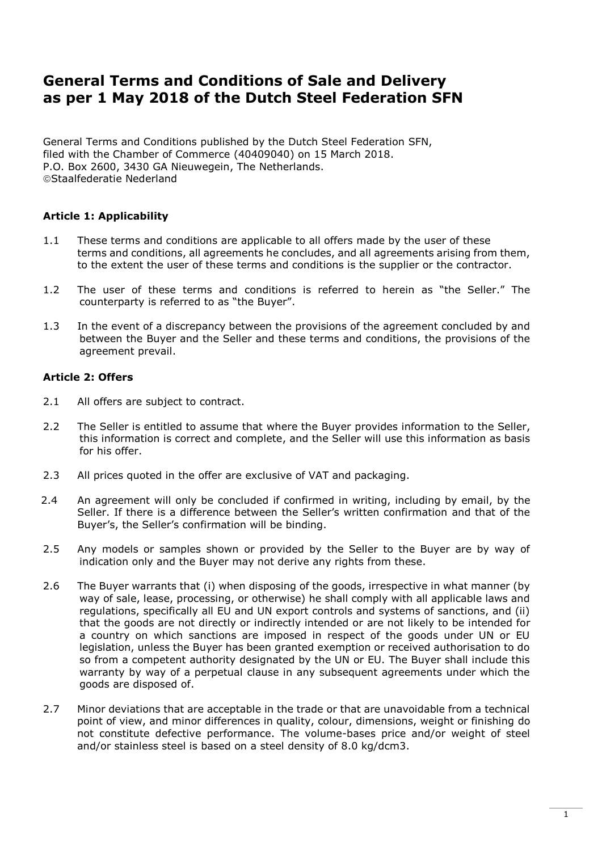# **General Terms and Conditions of Sale and Delivery as per 1 May 2018 of the Dutch Steel Federation SFN**

General Terms and Conditions published by the Dutch Steel Federation SFN, filed with the Chamber of Commerce (40409040) on 15 March 2018. P.O. Box 2600, 3430 GA Nieuwegein, The Netherlands. Staalfederatie Nederland

# **Article 1: Applicability**

- 1.1 These terms and conditions are applicable to all offers made by the user of these terms and conditions, all agreements he concludes, and all agreements arising from them, to the extent the user of these terms and conditions is the supplier or the contractor.
- 1.2 The user of these terms and conditions is referred to herein as "the Seller." The counterparty is referred to as "the Buyer".
- 1.3 In the event of a discrepancy between the provisions of the agreement concluded by and between the Buyer and the Seller and these terms and conditions, the provisions of the agreement prevail.

# **Article 2: Offers**

- 2.1 All offers are subject to contract.
- 2.2 The Seller is entitled to assume that where the Buyer provides information to the Seller, this information is correct and complete, and the Seller will use this information as basis for his offer.
- 2.3 All prices quoted in the offer are exclusive of VAT and packaging.
- 2.4 An agreement will only be concluded if confirmed in writing, including by email, by the Seller. If there is a difference between the Seller's written confirmation and that of the Buyer's, the Seller's confirmation will be binding.
- 2.5 Any models or samples shown or provided by the Seller to the Buyer are by way of indication only and the Buyer may not derive any rights from these.
- 2.6 The Buyer warrants that (i) when disposing of the goods, irrespective in what manner (by way of sale, lease, processing, or otherwise) he shall comply with all applicable laws and regulations, specifically all EU and UN export controls and systems of sanctions, and (ii) that the goods are not directly or indirectly intended or are not likely to be intended for a country on which sanctions are imposed in respect of the goods under UN or EU legislation, unless the Buyer has been granted exemption or received authorisation to do so from a competent authority designated by the UN or EU. The Buyer shall include this warranty by way of a perpetual clause in any subsequent agreements under which the goods are disposed of.
- 2.7 Minor deviations that are acceptable in the trade or that are unavoidable from a technical point of view, and minor differences in quality, colour, dimensions, weight or finishing do not constitute defective performance. The volume-bases price and/or weight of steel and/or stainless steel is based on a steel density of 8.0 kg/dcm3.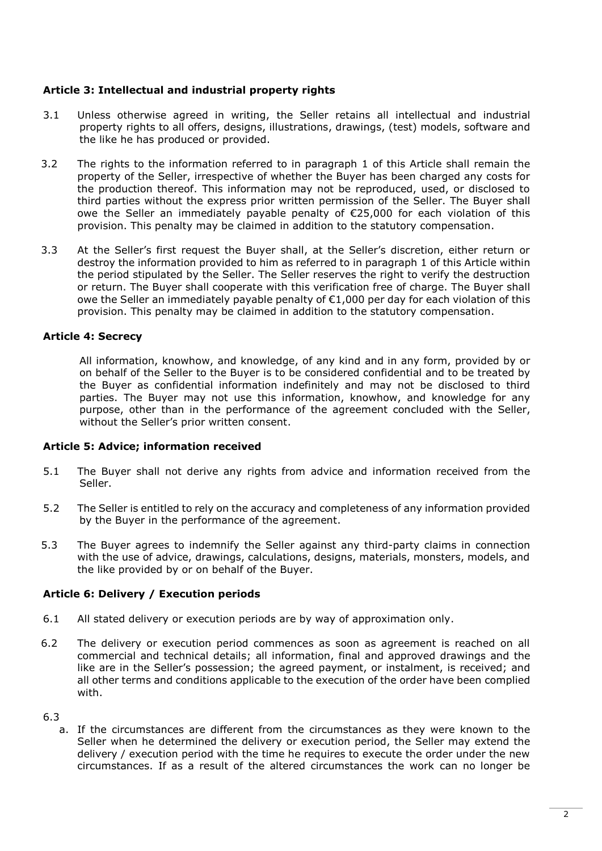# **Article 3: Intellectual and industrial property rights**

- 3.1 Unless otherwise agreed in writing, the Seller retains all intellectual and industrial property rights to all offers, designs, illustrations, drawings, (test) models, software and the like he has produced or provided.
- 3.2 The rights to the information referred to in paragraph 1 of this Article shall remain the property of the Seller, irrespective of whether the Buyer has been charged any costs for the production thereof. This information may not be reproduced, used, or disclosed to third parties without the express prior written permission of the Seller. The Buyer shall owe the Seller an immediately payable penalty of €25,000 for each violation of this provision. This penalty may be claimed in addition to the statutory compensation.
- 3.3 At the Seller's first request the Buyer shall, at the Seller's discretion, either return or destroy the information provided to him as referred to in paragraph 1 of this Article within the period stipulated by the Seller. The Seller reserves the right to verify the destruction or return. The Buyer shall cooperate with this verification free of charge. The Buyer shall owe the Seller an immediately payable penalty of  $\epsilon$ 1,000 per day for each violation of this provision. This penalty may be claimed in addition to the statutory compensation.

# **Article 4: Secrecy**

All information, knowhow, and knowledge, of any kind and in any form, provided by or on behalf of the Seller to the Buyer is to be considered confidential and to be treated by the Buyer as confidential information indefinitely and may not be disclosed to third parties. The Buyer may not use this information, knowhow, and knowledge for any purpose, other than in the performance of the agreement concluded with the Seller, without the Seller's prior written consent.

#### **Article 5: Advice; information received**

- 5.1 The Buyer shall not derive any rights from advice and information received from the Seller.
- 5.2 The Seller is entitled to rely on the accuracy and completeness of any information provided by the Buyer in the performance of the agreement.
- 5.3 The Buyer agrees to indemnify the Seller against any third-party claims in connection with the use of advice, drawings, calculations, designs, materials, monsters, models, and the like provided by or on behalf of the Buyer.

# **Article 6: Delivery / Execution periods**

- 6.1 All stated delivery or execution periods are by way of approximation only.
- 6.2 The delivery or execution period commences as soon as agreement is reached on all commercial and technical details; all information, final and approved drawings and the like are in the Seller's possession; the agreed payment, or instalment, is received; and all other terms and conditions applicable to the execution of the order have been complied with.

#### 6.3

a. If the circumstances are different from the circumstances as they were known to the Seller when he determined the delivery or execution period, the Seller may extend the delivery / execution period with the time he requires to execute the order under the new circumstances. If as a result of the altered circumstances the work can no longer be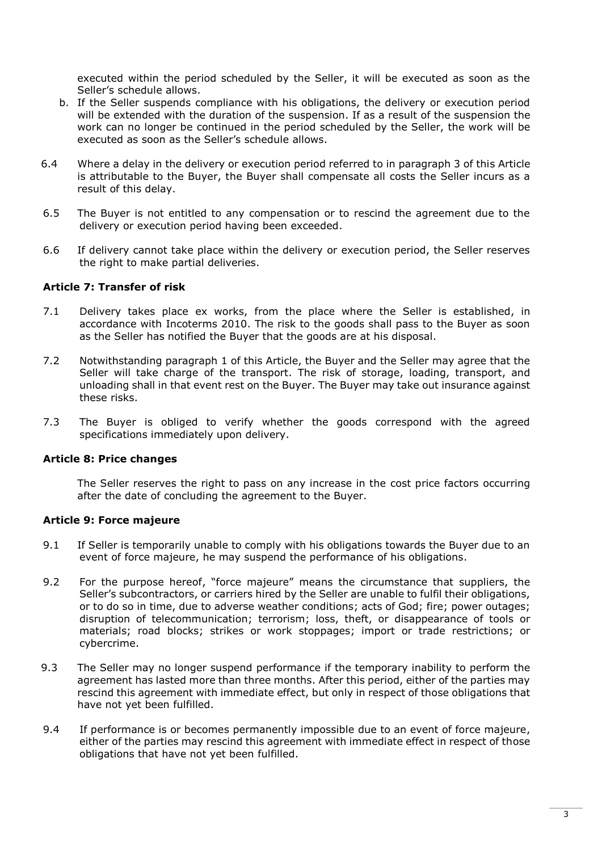executed within the period scheduled by the Seller, it will be executed as soon as the Seller's schedule allows.

- b. If the Seller suspends compliance with his obligations, the delivery or execution period will be extended with the duration of the suspension. If as a result of the suspension the work can no longer be continued in the period scheduled by the Seller, the work will be executed as soon as the Seller's schedule allows.
- 6.4 Where a delay in the delivery or execution period referred to in paragraph 3 of this Article is attributable to the Buyer, the Buyer shall compensate all costs the Seller incurs as a result of this delay.
- 6.5 The Buyer is not entitled to any compensation or to rescind the agreement due to the delivery or execution period having been exceeded.
- 6.6 If delivery cannot take place within the delivery or execution period, the Seller reserves the right to make partial deliveries.

# **Article 7: Transfer of risk**

- 7.1 Delivery takes place ex works, from the place where the Seller is established, in accordance with Incoterms 2010. The risk to the goods shall pass to the Buyer as soon as the Seller has notified the Buyer that the goods are at his disposal.
- 7.2 Notwithstanding paragraph 1 of this Article, the Buyer and the Seller may agree that the Seller will take charge of the transport. The risk of storage, loading, transport, and unloading shall in that event rest on the Buyer. The Buyer may take out insurance against these risks.
- 7.3 The Buyer is obliged to verify whether the goods correspond with the agreed specifications immediately upon delivery.

#### **Article 8: Price changes**

The Seller reserves the right to pass on any increase in the cost price factors occurring after the date of concluding the agreement to the Buyer.

#### **Article 9: Force majeure**

- 9.1 If Seller is temporarily unable to comply with his obligations towards the Buyer due to an event of force majeure, he may suspend the performance of his obligations.
- 9.2 For the purpose hereof, "force majeure" means the circumstance that suppliers, the Seller's subcontractors, or carriers hired by the Seller are unable to fulfil their obligations, or to do so in time, due to adverse weather conditions; acts of God; fire; power outages; disruption of telecommunication; terrorism; loss, theft, or disappearance of tools or materials; road blocks; strikes or work stoppages; import or trade restrictions; or cybercrime.
- 9.3 The Seller may no longer suspend performance if the temporary inability to perform the agreement has lasted more than three months. After this period, either of the parties may rescind this agreement with immediate effect, but only in respect of those obligations that have not yet been fulfilled.
- 9.4 If performance is or becomes permanently impossible due to an event of force majeure, either of the parties may rescind this agreement with immediate effect in respect of those obligations that have not yet been fulfilled.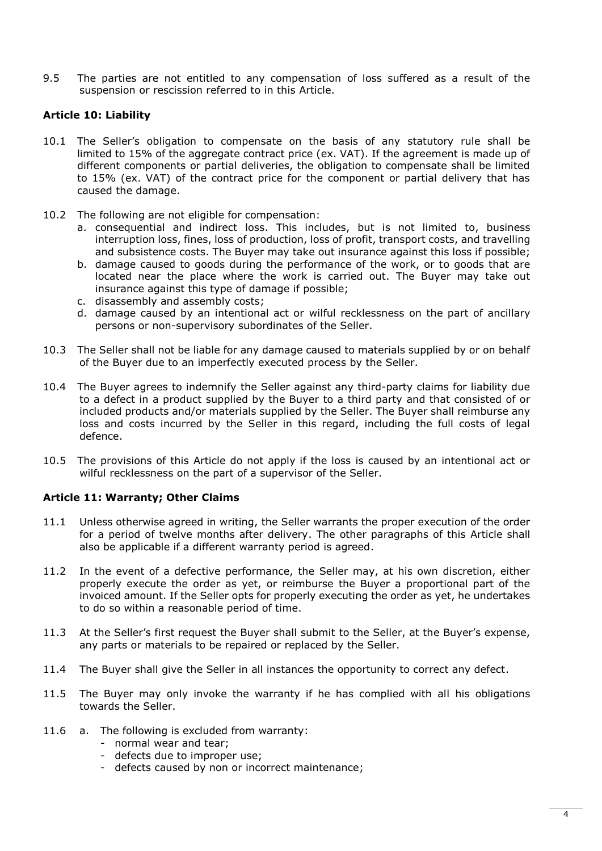9.5 The parties are not entitled to any compensation of loss suffered as a result of the suspension or rescission referred to in this Article.

# **Article 10: Liability**

- 10.1 The Seller's obligation to compensate on the basis of any statutory rule shall be limited to 15% of the aggregate contract price (ex. VAT). If the agreement is made up of different components or partial deliveries, the obligation to compensate shall be limited to 15% (ex. VAT) of the contract price for the component or partial delivery that has caused the damage.
- 10.2 The following are not eligible for compensation:
	- a. consequential and indirect loss. This includes, but is not limited to, business interruption loss, fines, loss of production, loss of profit, transport costs, and travelling and subsistence costs. The Buyer may take out insurance against this loss if possible;
	- b. damage caused to goods during the performance of the work, or to goods that are located near the place where the work is carried out. The Buyer may take out insurance against this type of damage if possible;
	- c. disassembly and assembly costs;
	- d. damage caused by an intentional act or wilful recklessness on the part of ancillary persons or non-supervisory subordinates of the Seller.
- 10.3 The Seller shall not be liable for any damage caused to materials supplied by or on behalf of the Buyer due to an imperfectly executed process by the Seller.
- 10.4 The Buyer agrees to indemnify the Seller against any third-party claims for liability due to a defect in a product supplied by the Buyer to a third party and that consisted of or included products and/or materials supplied by the Seller. The Buyer shall reimburse any loss and costs incurred by the Seller in this regard, including the full costs of legal defence.
- 10.5 The provisions of this Article do not apply if the loss is caused by an intentional act or wilful recklessness on the part of a supervisor of the Seller.

#### **Article 11: Warranty; Other Claims**

- 11.1 Unless otherwise agreed in writing, the Seller warrants the proper execution of the order for a period of twelve months after delivery. The other paragraphs of this Article shall also be applicable if a different warranty period is agreed.
- 11.2 In the event of a defective performance, the Seller may, at his own discretion, either properly execute the order as yet, or reimburse the Buyer a proportional part of the invoiced amount. If the Seller opts for properly executing the order as yet, he undertakes to do so within a reasonable period of time.
- 11.3 At the Seller's first request the Buyer shall submit to the Seller, at the Buyer's expense, any parts or materials to be repaired or replaced by the Seller.
- 11.4 The Buyer shall give the Seller in all instances the opportunity to correct any defect.
- 11.5 The Buyer may only invoke the warranty if he has complied with all his obligations towards the Seller.
- 11.6 a. The following is excluded from warranty:
	- normal wear and tear;
	- defects due to improper use;
	- defects caused by non or incorrect maintenance;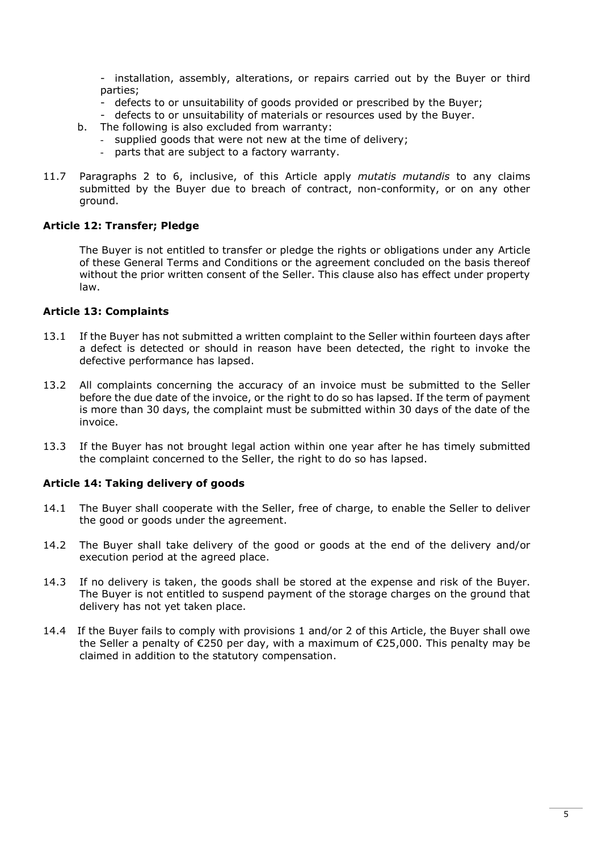- installation, assembly, alterations, or repairs carried out by the Buyer or third parties;

- defects to or unsuitability of goods provided or prescribed by the Buyer;
- defects to or unsuitability of materials or resources used by the Buyer.
- b. The following is also excluded from warranty:
	- supplied goods that were not new at the time of delivery;
	- parts that are subject to a factory warranty.
- 11.7 Paragraphs 2 to 6, inclusive, of this Article apply *mutatis mutandis* to any claims submitted by the Buyer due to breach of contract, non-conformity, or on any other ground.

#### **Article 12: Transfer; Pledge**

The Buyer is not entitled to transfer or pledge the rights or obligations under any Article of these General Terms and Conditions or the agreement concluded on the basis thereof without the prior written consent of the Seller. This clause also has effect under property law.

#### **Article 13: Complaints**

- 13.1 If the Buyer has not submitted a written complaint to the Seller within fourteen days after a defect is detected or should in reason have been detected, the right to invoke the defective performance has lapsed.
- 13.2 All complaints concerning the accuracy of an invoice must be submitted to the Seller before the due date of the invoice, or the right to do so has lapsed. If the term of payment is more than 30 days, the complaint must be submitted within 30 days of the date of the invoice.
- 13.3 If the Buyer has not brought legal action within one year after he has timely submitted the complaint concerned to the Seller, the right to do so has lapsed.

#### **Article 14: Taking delivery of goods**

- 14.1 The Buyer shall cooperate with the Seller, free of charge, to enable the Seller to deliver the good or goods under the agreement.
- 14.2 The Buyer shall take delivery of the good or goods at the end of the delivery and/or execution period at the agreed place.
- 14.3 If no delivery is taken, the goods shall be stored at the expense and risk of the Buyer. The Buyer is not entitled to suspend payment of the storage charges on the ground that delivery has not yet taken place.
- 14.4 If the Buyer fails to comply with provisions 1 and/or 2 of this Article, the Buyer shall owe the Seller a penalty of €250 per day, with a maximum of €25,000. This penalty may be claimed in addition to the statutory compensation.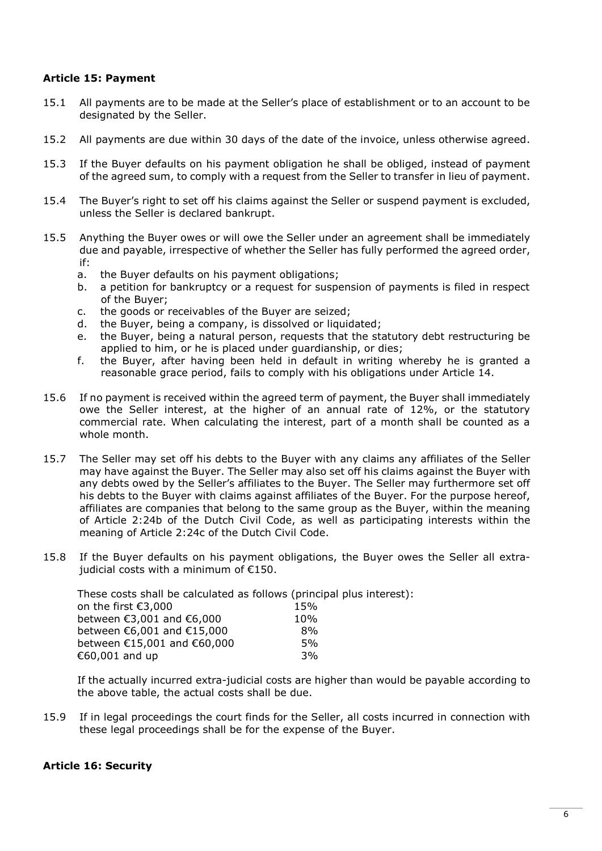# **Article 15: Payment**

- 15.1 All payments are to be made at the Seller's place of establishment or to an account to be designated by the Seller.
- 15.2 All payments are due within 30 days of the date of the invoice, unless otherwise agreed.
- 15.3 If the Buyer defaults on his payment obligation he shall be obliged, instead of payment of the agreed sum, to comply with a request from the Seller to transfer in lieu of payment.
- 15.4 The Buyer's right to set off his claims against the Seller or suspend payment is excluded, unless the Seller is declared bankrupt.
- 15.5 Anything the Buyer owes or will owe the Seller under an agreement shall be immediately due and payable, irrespective of whether the Seller has fully performed the agreed order, if:
	- a. the Buyer defaults on his payment obligations;
	- b. a petition for bankruptcy or a request for suspension of payments is filed in respect of the Buyer;
	- c. the goods or receivables of the Buyer are seized;
	- d. the Buyer, being a company, is dissolved or liquidated;
	- e. the Buyer, being a natural person, requests that the statutory debt restructuring be applied to him, or he is placed under guardianship, or dies;
	- f. the Buyer, after having been held in default in writing whereby he is granted a reasonable grace period, fails to comply with his obligations under Article 14.
- 15.6 If no payment is received within the agreed term of payment, the Buyer shall immediately owe the Seller interest, at the higher of an annual rate of 12%, or the statutory commercial rate. When calculating the interest, part of a month shall be counted as a whole month.
- 15.7 The Seller may set off his debts to the Buyer with any claims any affiliates of the Seller may have against the Buyer. The Seller may also set off his claims against the Buyer with any debts owed by the Seller's affiliates to the Buyer. The Seller may furthermore set off his debts to the Buyer with claims against affiliates of the Buyer. For the purpose hereof, affiliates are companies that belong to the same group as the Buyer, within the meaning of Article 2:24b of the Dutch Civil Code, as well as participating interests within the meaning of Article 2:24c of the Dutch Civil Code.
- 15.8 If the Buyer defaults on his payment obligations, the Buyer owes the Seller all extrajudicial costs with a minimum of €150.

These costs shall be calculated as follows (principal plus interest): on the first  $f_3$ ,000

| UIL LITH TILSL ES,UUU       | 1 J 70 |
|-----------------------------|--------|
| between €3,001 and €6,000   | 10%    |
| between €6,001 and €15,000  | 8%     |
| between €15,001 and €60,000 | .5%    |
| €60,001 and up              | 3%     |
|                             |        |

If the actually incurred extra-judicial costs are higher than would be payable according to the above table, the actual costs shall be due.

15.9 If in legal proceedings the court finds for the Seller, all costs incurred in connection with these legal proceedings shall be for the expense of the Buyer.

#### **Article 16: Security**